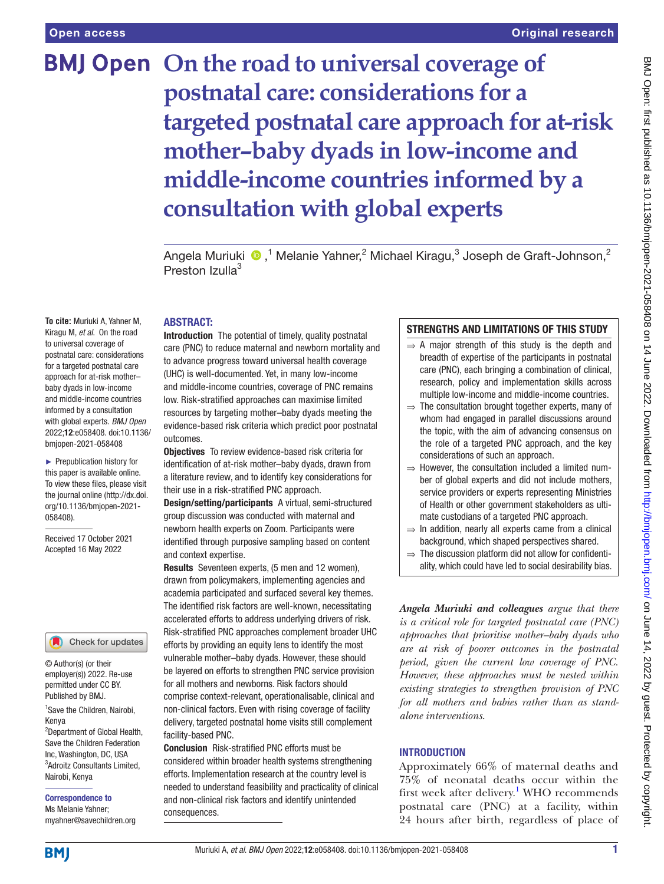# **BMJ Open** On the road to universal coverage of **postnatal care: considerations for a targeted postnatal care approach for at-risk mother–baby dyads in low-income and middle-income countries informed by a consultation with global experts**

Angela Muriuki  $\bullet$  ,<sup>1</sup> Melanie Yahner,<sup>2</sup> Michael Kiragu,<sup>3</sup> Joseph de Graft-Johnson,<sup>2</sup> Preston Izulla<sup>3</sup>

#### ABSTRACT:

**To cite:** Muriuki A, Yahner M, Kiragu M, *et al*. On the road to universal coverage of postnatal care: considerations for a targeted postnatal care approach for at-risk mother– baby dyads in low-income and middle-income countries informed by a consultation with global experts. *BMJ Open* 2022;12:e058408. doi:10.1136/ bmjopen-2021-058408

► Prepublication history for this paper is available online. To view these files, please visit the journal online [\(http://dx.doi.](http://dx.doi.org/10.1136/bmjopen-2021-058408) [org/10.1136/bmjopen-2021-](http://dx.doi.org/10.1136/bmjopen-2021-058408) [058408\)](http://dx.doi.org/10.1136/bmjopen-2021-058408).

Received 17 October 2021 Accepted 16 May 2022

#### Check for updates

© Author(s) (or their employer(s)) 2022. Re-use permitted under CC BY. Published by BMJ.

<sup>1</sup> Save the Children, Nairobi, Kenya

2 Department of Global Health, Save the Children Federation Inc, Washington, DC, USA 3 Adroitz Consultants Limited, Nairobi, Kenya

Correspondence to Ms Melanie Yahner; myahner@savechildren.org

Introduction The potential of timely, quality postnatal care (PNC) to reduce maternal and newborn mortality and to advance progress toward universal health coverage (UHC) is well-documented. Yet, in many low-income and middle-income countries, coverage of PNC remains low. Risk-stratified approaches can maximise limited resources by targeting mother–baby dyads meeting the evidence-based risk criteria which predict poor postnatal outcomes.

**Objectives** To review evidence-based risk criteria for identification of at-risk mother–baby dyads, drawn from a literature review, and to identify key considerations for their use in a risk-stratified PNC approach.

Design/setting/participants A virtual, semi-structured group discussion was conducted with maternal and newborn health experts on Zoom. Participants were identified through purposive sampling based on content and context expertise.

Results Seventeen experts, (5 men and 12 women), drawn from policymakers, implementing agencies and academia participated and surfaced several key themes. The identified risk factors are well-known, necessitating accelerated efforts to address underlying drivers of risk. Risk-stratified PNC approaches complement broader UHC efforts by providing an equity lens to identify the most vulnerable mother–baby dyads. However, these should be layered on efforts to strengthen PNC service provision for all mothers and newborns. Risk factors should comprise context-relevant, operationalisable, clinical and non-clinical factors. Even with rising coverage of facility delivery, targeted postnatal home visits still complement facility-based PNC.

Conclusion Risk-stratified PNC efforts must be considered within broader health systems strengthening efforts. Implementation research at the country level is needed to understand feasibility and practicality of clinical and non-clinical risk factors and identify unintended consequences.

#### STRENGTHS AND LIMITATIONS OF THIS STUDY

- $\Rightarrow$  A major strength of this study is the depth and breadth of expertise of the participants in postnatal care (PNC), each bringing a combination of clinical, research, policy and implementation skills across multiple low-income and middle-income countries.
- $\Rightarrow$  The consultation brought together experts, many of whom had engaged in parallel discussions around the topic, with the aim of advancing consensus on the role of a targeted PNC approach, and the key considerations of such an approach.
- $\Rightarrow$  However, the consultation included a limited number of global experts and did not include mothers, service providers or experts representing Ministries of Health or other government stakeholders as ultimate custodians of a targeted PNC approach.
- $\Rightarrow$  In addition, nearly all experts came from a clinical background, which shaped perspectives shared.
- $\Rightarrow$  The discussion platform did not allow for confidentiality, which could have led to social desirability bias.

*Angela Muriuki and colleagues argue that there is a critical role for targeted postnatal care (PNC) approaches that prioritise mother–baby dyads who are at risk of poorer outcomes in the postnatal period, given the current low coverage of PNC. However, these approaches must be nested within existing strategies to strengthen provision of PNC for all mothers and babies rather than as standalone interventions*.

#### **INTRODUCTION**

Approximately 66% of maternal deaths and 75% of neonatal deaths occur within the first week after delivery.<sup>[1](#page-4-0)</sup> WHO recommends postnatal care (PNC) at a facility, within 24 hours after birth, regardless of place of

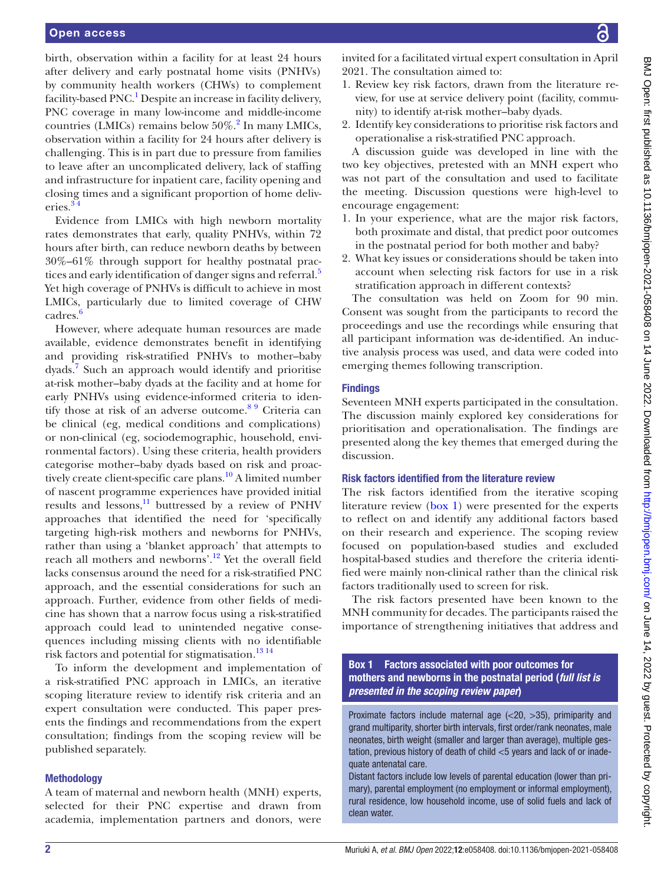birth, observation within a facility for at least 24 hours after delivery and early postnatal home visits (PNHVs) by community health workers (CHWs) to complement facility-based PNC.<sup>[1](#page-4-0)</sup> Despite an increase in facility delivery, PNC coverage in many low-income and middle-income countries (LMICs) remains below  $50\%$ .<sup>[2](#page-4-1)</sup> In many LMICs, observation within a facility for 24 hours after delivery is challenging. This is in part due to pressure from families to leave after an uncomplicated delivery, lack of staffing and infrastructure for inpatient care, facility opening and closing times and a significant proportion of home deliveries.[3 4](#page-4-2)

Evidence from LMICs with high newborn mortality rates demonstrates that early, quality PNHVs, within 72 hours after birth, can reduce newborn deaths by between 30%–61% through support for healthy postnatal prac-tices and early identification of danger signs and referral.<sup>[5](#page-4-3)</sup> Yet high coverage of PNHVs is difficult to achieve in most LMICs, particularly due to limited coverage of CHW cadres.<sup>[6](#page-4-4)</sup>

However, where adequate human resources are made available, evidence demonstrates benefit in identifying and providing risk-stratified PNHVs to mother–baby dyads.<sup>7</sup> Such an approach would identify and prioritise at-risk mother–baby dyads at the facility and at home for early PNHVs using evidence-informed criteria to identify those at risk of an adverse outcome.<sup>89</sup> Criteria can be clinical (eg, medical conditions and complications) or non-clinical (eg, sociodemographic, household, environmental factors). Using these criteria, health providers categorise mother–baby dyads based on risk and proactively create client-specific care plans.<sup>10</sup> A limited number of nascent programme experiences have provided initial results and lessons, $11$  buttressed by a review of PNHV approaches that identified the need for 'specifically targeting high-risk mothers and newborns for PNHVs, rather than using a 'blanket approach' that attempts to reach all mothers and newborns'.[12](#page-5-1) Yet the overall field lacks consensus around the need for a risk-stratified PNC approach, and the essential considerations for such an approach. Further, evidence from other fields of medicine has shown that a narrow focus using a risk-stratified approach could lead to unintended negative consequences including missing clients with no identifiable risk factors and potential for stigmatisation.<sup>13 14</sup>

To inform the development and implementation of a risk-stratified PNC approach in LMICs, an iterative scoping literature review to identify risk criteria and an expert consultation were conducted. This paper presents the findings and recommendations from the expert consultation; findings from the scoping review will be published separately.

#### Methodology

A team of maternal and newborn health (MNH) experts, selected for their PNC expertise and drawn from academia, implementation partners and donors, were invited for a facilitated virtual expert consultation in April 2021. The consultation aimed to:

- 1. Review key risk factors, drawn from the literature review, for use at service delivery point (facility, community) to identify at-risk mother–baby dyads.
- 2. Identify key considerations to prioritise risk factors and operationalise a risk-stratified PNC approach.

A discussion guide was developed in line with the two key objectives, pretested with an MNH expert who was not part of the consultation and used to facilitate the meeting. Discussion questions were high-level to encourage engagement:

- 1. In your experience, what are the major risk factors, both proximate and distal, that predict poor outcomes in the postnatal period for both mother and baby?
- 2. What key issues or considerations should be taken into account when selecting risk factors for use in a risk stratification approach in different contexts?

The consultation was held on Zoom for 90 min. Consent was sought from the participants to record the proceedings and use the recordings while ensuring that all participant information was de-identified. An inductive analysis process was used, and data were coded into emerging themes following transcription.

#### **Findings**

Seventeen MNH experts participated in the consultation. The discussion mainly explored key considerations for prioritisation and operationalisation. The findings are presented along the key themes that emerged during the discussion.

### Risk factors identified from the literature review

The risk factors identified from the iterative scoping literature review [\(box](#page-1-0) 1) were presented for the experts to reflect on and identify any additional factors based on their research and experience. The scoping review focused on population-based studies and excluded hospital-based studies and therefore the criteria identified were mainly non-clinical rather than the clinical risk factors traditionally used to screen for risk.

The risk factors presented have been known to the MNH community for decades. The participants raised the importance of strengthening initiatives that address and

Box 1 Factors associated with poor outcomes for mothers and newborns in the postnatal period (*full list is presented in the scoping review paper*)

<span id="page-1-0"></span>Proximate factors include maternal age (<20, >35), primiparity and grand multiparity, shorter birth intervals, first order/rank neonates, male neonates, birth weight (smaller and larger than average), multiple gestation, previous history of death of child <5 years and lack of or inadequate antenatal care.

Distant factors include low levels of parental education (lower than primary), parental employment (no employment or informal employment), rural residence, low household income, use of solid fuels and lack of clean water.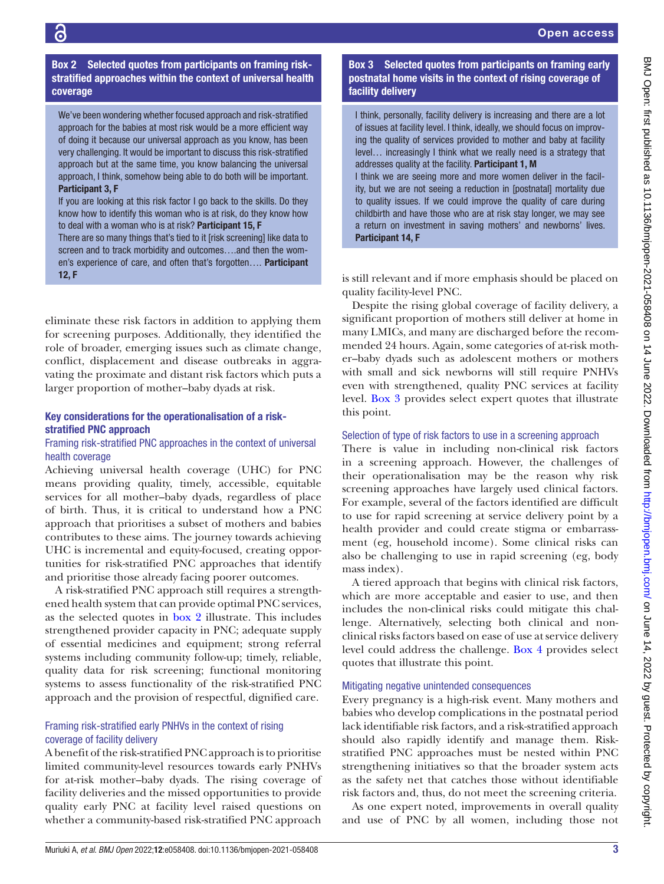Box 2 Selected quotes from participants on framing riskstratified approaches within the context of universal health coverage

 $\overline{c}$ 

<span id="page-2-0"></span>We've been wondering whether focused approach and risk-stratified approach for the babies at most risk would be a more efficient way of doing it because our universal approach as you know, has been very challenging. It would be important to discuss this risk-stratified approach but at the same time, you know balancing the universal approach, I think, somehow being able to do both will be important. Participant 3, F

If you are looking at this risk factor I go back to the skills. Do they know how to identify this woman who is at risk, do they know how to deal with a woman who is at risk? Participant 15, F

There are so many things that's tied to it [risk screening] like data to screen and to track morbidity and outcomes….and then the women's experience of care, and often that's forgotten.... Participant 12, F

eliminate these risk factors in addition to applying them for screening purposes. Additionally, they identified the role of broader, emerging issues such as climate change, conflict, displacement and disease outbreaks in aggravating the proximate and distant risk factors which puts a larger proportion of mother–baby dyads at risk.

#### Key considerations for the operationalisation of a riskstratified PNC approach

#### Framing risk-stratified PNC approaches in the context of universal health coverage

Achieving universal health coverage (UHC) for PNC means providing quality, timely, accessible, equitable services for all mother–baby dyads, regardless of place of birth. Thus, it is critical to understand how a PNC approach that prioritises a subset of mothers and babies contributes to these aims. The journey towards achieving UHC is incremental and equity-focused, creating opportunities for risk-stratified PNC approaches that identify and prioritise those already facing poorer outcomes.

A risk-stratified PNC approach still requires a strengthened health system that can provide optimal PNC services, as the selected quotes in [box](#page-2-0) 2 illustrate. This includes strengthened provider capacity in PNC; adequate supply of essential medicines and equipment; strong referral systems including community follow-up; timely, reliable, quality data for risk screening; functional monitoring systems to assess functionality of the risk-stratified PNC approach and the provision of respectful, dignified care.

### Framing risk-stratified early PNHVs in the context of rising coverage of facility delivery

A benefit of the risk-stratified PNC approach is to prioritise limited community-level resources towards early PNHVs for at-risk mother–baby dyads. The rising coverage of facility deliveries and the missed opportunities to provide quality early PNC at facility level raised questions on whether a community-based risk-stratified PNC approach

## Box 3 Selected quotes from participants on framing early postnatal home visits in the context of rising coverage of facility delivery

<span id="page-2-1"></span>I think, personally, facility delivery is increasing and there are a lot of issues at facility level. I think, ideally, we should focus on improving the quality of services provided to mother and baby at facility level… increasingly I think what we really need is a strategy that addresses quality at the facility. Participant 1, M

I think we are seeing more and more women deliver in the facility, but we are not seeing a reduction in [postnatal] mortality due to quality issues. If we could improve the quality of care during childbirth and have those who are at risk stay longer, we may see a return on investment in saving mothers' and newborns' lives. Participant 14, F

is still relevant and if more emphasis should be placed on quality facility-level PNC.

Despite the rising global coverage of facility delivery, a significant proportion of mothers still deliver at home in many LMICs, and many are discharged before the recommended 24 hours. Again, some categories of at-risk mother–baby dyads such as adolescent mothers or mothers with small and sick newborns will still require PNHVs even with strengthened, quality PNC services at facility level. [Box](#page-2-1) 3 provides select expert quotes that illustrate this point.

#### Selection of type of risk factors to use in a screening approach

There is value in including non-clinical risk factors in a screening approach. However, the challenges of their operationalisation may be the reason why risk screening approaches have largely used clinical factors. For example, several of the factors identified are difficult to use for rapid screening at service delivery point by a health provider and could create stigma or embarrassment (eg, household income). Some clinical risks can also be challenging to use in rapid screening (eg, body mass index).

A tiered approach that begins with clinical risk factors, which are more acceptable and easier to use, and then includes the non-clinical risks could mitigate this challenge. Alternatively, selecting both clinical and nonclinical risks factors based on ease of use at service delivery level could address the challenge. [Box](#page-3-0) 4 provides select quotes that illustrate this point.

### Mitigating negative unintended consequences

Every pregnancy is a high-risk event. Many mothers and babies who develop complications in the postnatal period lack identifiable risk factors, and a risk-stratified approach should also rapidly identify and manage them. Riskstratified PNC approaches must be nested within PNC strengthening initiatives so that the broader system acts as the safety net that catches those without identifiable risk factors and, thus, do not meet the screening criteria.

As one expert noted, improvements in overall quality and use of PNC by all women, including those not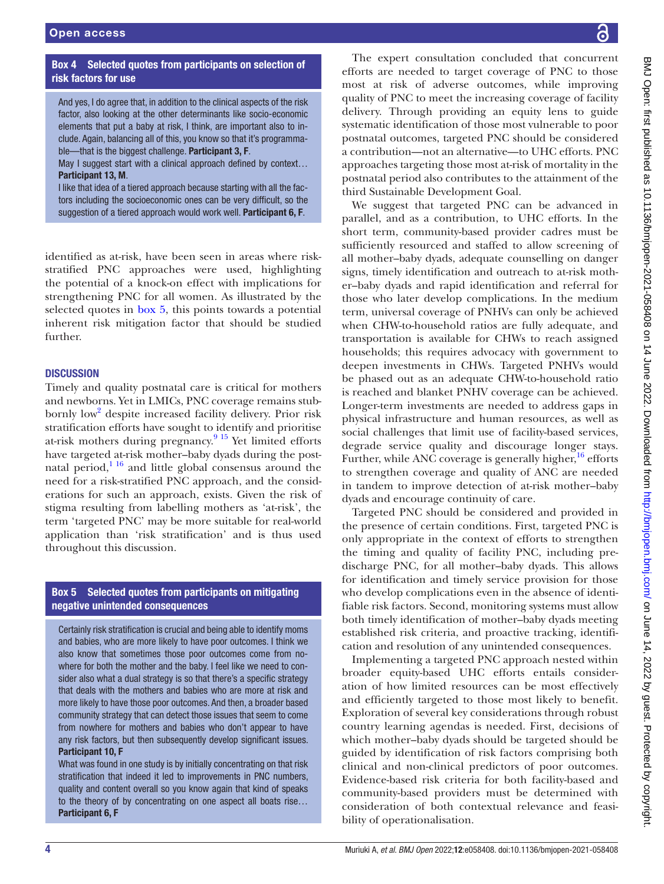# Box 4 Selected quotes from participants on selection of risk factors for use

<span id="page-3-0"></span>And yes, I do agree that, in addition to the clinical aspects of the risk factor, also looking at the other determinants like socio-economic elements that put a baby at risk, I think, are important also to include. Again, balancing all of this, you know so that it's programmable—that is the biggest challenge. Participant 3, F.

May I suggest start with a clinical approach defined by context... Participant 13, M.

I like that idea of a tiered approach because starting with all the factors including the socioeconomic ones can be very difficult, so the suggestion of a tiered approach would work well. Participant 6, F.

identified as at-risk, have been seen in areas where riskstratified PNC approaches were used, highlighting the potential of a knock-on effect with implications for strengthening PNC for all women. As illustrated by the selected quotes in [box](#page-3-1) 5, this points towards a potential inherent risk mitigation factor that should be studied further.

#### **DISCUSSION**

Timely and quality postnatal care is critical for mothers and newborns. Yet in LMICs, PNC coverage remains stub-bornly low<sup>[2](#page-4-1)</sup> despite increased facility delivery. Prior risk stratification efforts have sought to identify and prioritise at-risk mothers during pregnancy.<sup>9</sup><sup>15</sup> Yet limited efforts have targeted at-risk mother–baby dyads during the postnatal period, $1^{16}$  and little global consensus around the need for a risk-stratified PNC approach, and the considerations for such an approach, exists. Given the risk of stigma resulting from labelling mothers as 'at-risk', the term 'targeted PNC' may be more suitable for real-world application than 'risk stratification' and is thus used throughout this discussion.

### Box 5 Selected quotes from participants on mitigating negative unintended consequences

<span id="page-3-1"></span>Certainly risk stratification is crucial and being able to identify moms and babies, who are more likely to have poor outcomes. I think we also know that sometimes those poor outcomes come from nowhere for both the mother and the baby. I feel like we need to consider also what a dual strategy is so that there's a specific strategy that deals with the mothers and babies who are more at risk and more likely to have those poor outcomes. And then, a broader based community strategy that can detect those issues that seem to come from nowhere for mothers and babies who don't appear to have any risk factors, but then subsequently develop significant issues. Participant 10, F

What was found in one study is by initially concentrating on that risk stratification that indeed it led to improvements in PNC numbers, quality and content overall so you know again that kind of speaks to the theory of by concentrating on one aspect all boats rise… Participant 6, F

The expert consultation concluded that concurrent efforts are needed to target coverage of PNC to those most at risk of adverse outcomes, while improving quality of PNC to meet the increasing coverage of facility delivery. Through providing an equity lens to guide systematic identification of those most vulnerable to poor postnatal outcomes, targeted PNC should be considered a contribution—not an alternative—to UHC efforts. PNC approaches targeting those most at-risk of mortality in the postnatal period also contributes to the attainment of the third Sustainable Development Goal.

We suggest that targeted PNC can be advanced in parallel, and as a contribution, to UHC efforts. In the short term, community-based provider cadres must be sufficiently resourced and staffed to allow screening of all mother–baby dyads, adequate counselling on danger signs, timely identification and outreach to at-risk mother–baby dyads and rapid identification and referral for those who later develop complications. In the medium term, universal coverage of PNHVs can only be achieved when CHW-to-household ratios are fully adequate, and transportation is available for CHWs to reach assigned households; this requires advocacy with government to deepen investments in CHWs. Targeted PNHVs would be phased out as an adequate CHW-to-household ratio is reached and blanket PNHV coverage can be achieved. Longer-term investments are needed to address gaps in physical infrastructure and human resources, as well as social challenges that limit use of facility-based services, degrade service quality and discourage longer stays. Further, while ANC coverage is generally higher, $^{16}$  efforts to strengthen coverage and quality of ANC are needed in tandem to improve detection of at-risk mother–baby dyads and encourage continuity of care.

Targeted PNC should be considered and provided in the presence of certain conditions. First, targeted PNC is only appropriate in the context of efforts to strengthen the timing and quality of facility PNC, including predischarge PNC, for all mother–baby dyads. This allows for identification and timely service provision for those who develop complications even in the absence of identifiable risk factors. Second, monitoring systems must allow both timely identification of mother–baby dyads meeting established risk criteria, and proactive tracking, identification and resolution of any unintended consequences.

Implementing a targeted PNC approach nested within broader equity-based UHC efforts entails consideration of how limited resources can be most effectively and efficiently targeted to those most likely to benefit. Exploration of several key considerations through robust country learning agendas is needed. First, decisions of which mother–baby dyads should be targeted should be guided by identification of risk factors comprising both clinical and non-clinical predictors of poor outcomes. Evidence-based risk criteria for both facility-based and community-based providers must be determined with consideration of both contextual relevance and feasibility of operationalisation.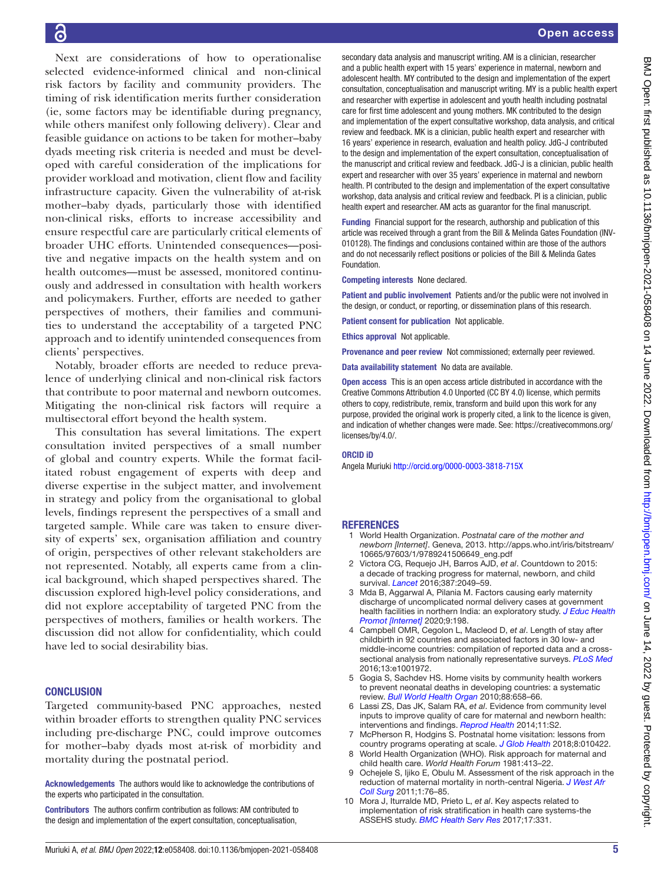Open access

Next are considerations of how to operationalise selected evidence-informed clinical and non-clinical risk factors by facility and community providers. The timing of risk identification merits further consideration (ie, some factors may be identifiable during pregnancy, while others manifest only following delivery). Clear and feasible guidance on actions to be taken for mother–baby dyads meeting risk criteria is needed and must be developed with careful consideration of the implications for provider workload and motivation, client flow and facility infrastructure capacity. Given the vulnerability of at-risk mother–baby dyads, particularly those with identified non-clinical risks, efforts to increase accessibility and ensure respectful care are particularly critical elements of broader UHC efforts. Unintended consequences—positive and negative impacts on the health system and on health outcomes—must be assessed, monitored continuously and addressed in consultation with health workers and policymakers. Further, efforts are needed to gather perspectives of mothers, their families and communities to understand the acceptability of a targeted PNC approach and to identify unintended consequences from clients' perspectives.

Notably, broader efforts are needed to reduce prevalence of underlying clinical and non-clinical risk factors that contribute to poor maternal and newborn outcomes. Mitigating the non-clinical risk factors will require a multisectoral effort beyond the health system.

This consultation has several limitations. The expert consultation invited perspectives of a small number of global and country experts. While the format facilitated robust engagement of experts with deep and diverse expertise in the subject matter, and involvement in strategy and policy from the organisational to global levels, findings represent the perspectives of a small and targeted sample. While care was taken to ensure diversity of experts' sex, organisation affiliation and country of origin, perspectives of other relevant stakeholders are not represented. Notably, all experts came from a clinical background, which shaped perspectives shared. The discussion explored high-level policy considerations, and did not explore acceptability of targeted PNC from the perspectives of mothers, families or health workers. The discussion did not allow for confidentiality, which could have led to social desirability bias.

#### **CONCLUSION**

Targeted community-based PNC approaches, nested within broader efforts to strengthen quality PNC services including pre-discharge PNC, could improve outcomes for mother–baby dyads most at-risk of morbidity and mortality during the postnatal period.

Acknowledgements The authors would like to acknowledge the contributions of the experts who participated in the consultation.

Contributors The authors confirm contribution as follows: AM contributed to the design and implementation of the expert consultation, conceptualisation,

secondary data analysis and manuscript writing. AM is a clinician, researcher and a public health expert with 15 years' experience in maternal, newborn and adolescent health. MY contributed to the design and implementation of the expert consultation, conceptualisation and manuscript writing. MY is a public health expert and researcher with expertise in adolescent and youth health including postnatal care for first time adolescent and young mothers. MK contributed to the design and implementation of the expert consultative workshop, data analysis, and critical review and feedback. MK is a clinician, public health expert and researcher with 16 years' experience in research, evaluation and health policy. JdG-J contributed to the design and implementation of the expert consultation, conceptualisation of the manuscript and critical review and feedback. JdG-J is a clinician, public health expert and researcher with over 35 years' experience in maternal and newborn health. PI contributed to the design and implementation of the expert consultative workshop, data analysis and critical review and feedback. PI is a clinician, public health expert and researcher. AM acts as guarantor for the final manuscript.

Funding Financial support for the research, authorship and publication of this article was received through a grant from the Bill & Melinda Gates Foundation (INV-010128). The findings and conclusions contained within are those of the authors and do not necessarily reflect positions or policies of the Bill & Melinda Gates Foundation.

Competing interests None declared.

Patient and public involvement Patients and/or the public were not involved in the design, or conduct, or reporting, or dissemination plans of this research.

Patient consent for publication Not applicable.

Ethics approval Not applicable.

Provenance and peer review Not commissioned; externally peer reviewed.

Data availability statement No data are available.

Open access This is an open access article distributed in accordance with the Creative Commons Attribution 4.0 Unported (CC BY 4.0) license, which permits others to copy, redistribute, remix, transform and build upon this work for any purpose, provided the original work is properly cited, a link to the licence is given, and indication of whether changes were made. See: [https://creativecommons.org/](https://creativecommons.org/licenses/by/4.0/) [licenses/by/4.0/](https://creativecommons.org/licenses/by/4.0/).

#### ORCID iD

Angela Muriuki<http://orcid.org/0000-0003-3818-715X>

#### **REFERENCES**

- <span id="page-4-0"></span>1 World Health Organization. *Postnatal care of the mother and newborn [Internet]*. Geneva, 2013. [http://apps.who.int/iris/bitstream/](http://apps.who.int/iris/bitstream/10665/97603/1/9789241506649_eng.pdf) [10665/97603/1/9789241506649\\_eng.pdf](http://apps.who.int/iris/bitstream/10665/97603/1/9789241506649_eng.pdf)
- <span id="page-4-1"></span>2 Victora CG, Requejo JH, Barros AJD, *et al*. Countdown to 2015: a decade of tracking progress for maternal, newborn, and child survival. *[Lancet](http://dx.doi.org/10.1016/S0140-6736(15)00519-X)* 2016;387:2049–59.
- <span id="page-4-2"></span>3 Mda B, Aggarwal A, Pilania M. Factors causing early maternity discharge of uncomplicated normal delivery cases at government health facilities in northern India: an exploratory study. *[J Educ Health](http://dx.doi.org/10.4103/jehp.jehp_275_20)  [Promot \[Internet\]](http://dx.doi.org/10.4103/jehp.jehp_275_20)* 2020;9:198.
- 4 Campbell OMR, Cegolon L, Macleod D, *et al*. Length of stay after childbirth in 92 countries and associated factors in 30 low- and middle-income countries: compilation of reported data and a crosssectional analysis from nationally representative surveys. *[PLoS Med](http://dx.doi.org/10.1371/journal.pmed.1001972)* 2016;13:e1001972.
- <span id="page-4-3"></span>5 Gogia S, Sachdev HS. Home visits by community health workers to prevent neonatal deaths in developing countries: a systematic review. *[Bull World Health Organ](http://dx.doi.org/10.2471/BLT.09.069369)* 2010;88:658–66.
- <span id="page-4-4"></span>Lassi ZS, Das JK, Salam RA, et al. Evidence from community level inputs to improve quality of care for maternal and newborn health: interventions and findings. *[Reprod Health](http://dx.doi.org/10.1186/1742-4755-11-S2-S2)* 2014;11:S2.
- <span id="page-4-5"></span>7 McPherson R, Hodgins S. Postnatal home visitation: lessons from country programs operating at scale. *[J Glob Health](http://dx.doi.org/10.7189/jogh.08.010422)* 2018;8:010422.
- <span id="page-4-6"></span>World Health Organization (WHO). Risk approach for maternal and child health care. *World Health Forum* 1981:413–22.
- <span id="page-4-8"></span>Ochejele S, Ijiko E, Obulu M. Assessment of the risk approach in the reduction of maternal mortality in north-central Nigeria. *[J West Afr](http://www.ncbi.nlm.nih.gov/pubmed/25452955)  [Coll Surg](http://www.ncbi.nlm.nih.gov/pubmed/25452955)* 2011;1:76–85.
- <span id="page-4-7"></span>10 Mora J, Iturralde MD, Prieto L, *et al*. Key aspects related to implementation of risk stratification in health care systems-the ASSEHS study. *[BMC Health Serv Res](http://dx.doi.org/10.1186/s12913-017-2275-3)* 2017;17:331.